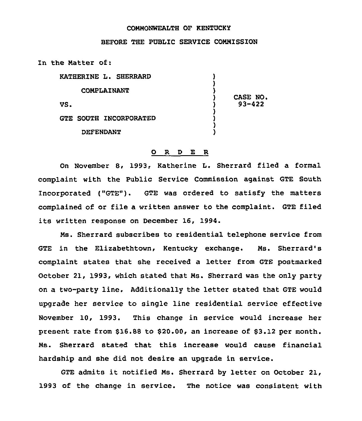## COMMONWEALTH OF KENTUCKy

## BEFORE THE PUBLIC SERVICE COMMISSION

In the Matter of:

| <b>KATHERINE L. SHERRARD</b>  |                        |
|-------------------------------|------------------------|
| <b>COMPLAINANT</b>            |                        |
| VS.                           | CASE NO.<br>$93 - 422$ |
| <b>GTE SOUTH INCORPORATED</b> |                        |
| <b>DEFENDANT</b>              |                        |

## 0 R <sup>D</sup> E R

On November 8, 1993, Katherine L. Sherrard filed a formal complaint with the Public Service Commission against GTE South Incorporated ("GTE"). GTE was ordered to satisfy the matters complained of or file a written answer to the complaint. GTE filed its written response on December 16, 1994.

Ms. Sherrard subscribes to residential telephone service from GTE in the Elizabethtown, Kentucky exchange. Ms. Sherrard's complaint states that she received a letter from GTE postmarked October 21, 1993, which stated that Ms. Sherrard was the only party on a two-party line. Additionally the letter stated that GTE would upgrade her service to single line residential service effective November 10, 1993. This change in service would increase her present rate from \$16.88 to \$20.00, an increase of \$3.12 per month. Ms. Sherrard stated that this increase would cause financial hardship and she did not desire an upgrade in service.

GTE admits it notified Ms. Sherrard by letter on October 21, 1993 of the change in service. The notice was consistent with